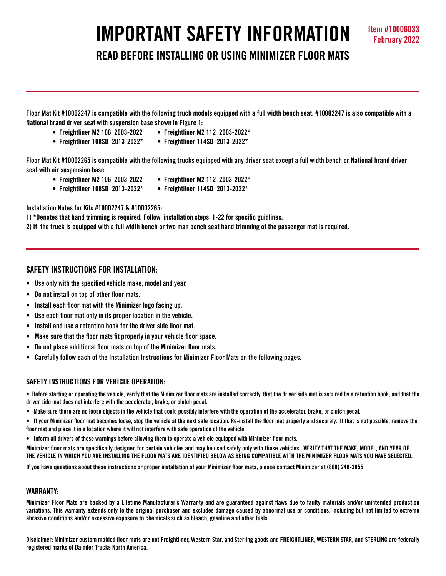# **IMPORTANT SAFETY INFORMATION Item #10006033**

**READ BEFORE INSTALLING OR USING MINIMIZER FLOOR MATS**

**Floor Mat Kit #10002247 is compatible with the following truck models equipped with a full width bench seat. #10002247 is also compatible with a National brand driver seat with suspension base shown in Figure 1:**

- **Freightliner M2 106 2003-2022 Freightliner M2 112 2003-2022\***
	-
- **Freightliner 108SD 2013-2022\* Freightliner 114SD 2013-2022\***

**Floor Mat Kit #10002265 is compatible with the following trucks equipped with any driver seat except a full width bench or National brand driver seat with air suspension base:**

- **Freightliner M2 106 2003-2022 Freightliner M2 112 2003-2022\***
	-
- **Freightliner 108SD 2013-2022\* Freightliner 114SD 2013-2022\***

**Installation Notes for Kits #10002247 & #10002265:**

**1) \*Denotes that hand trimming is required. Follow installation steps 1-22 for specific guidlines.**

**2) If the truck is equipped with a full width bench or two man bench seat hand trimming of the passenger mat is required.**

# **SAFETY INSTRUCTIONS FOR INSTALLATION:**

- **Use only with the specified vehicle make, model and year.**
- **Do not install on top of other floor mats.**
- **Install each floor mat with the Minimizer logo facing up.**
- **Use each floor mat only in its proper location in the vehicle.**
- **Install and use a retention hook for the driver side floor mat.**
- **Make sure that the floor mats fit properly in your vehicle floor space.**
- **Do not place additional floor mats on top of the Minimizer floor mats.**
- **Carefully follow each of the Installation Instructions for Minimizer Floor Mats on the following pages.**

# **SAFETY INSTRUCTIONS FOR VEHICLE OPERATION:**

**• Before starting or operating the vehicle, verify that the Minimizer floor mats are installed correctly, that the driver side mat is secured by a retention hook, and that the driver side mat does not interfere with the accelerator, brake, or clutch pedal.**

- **Make sure there are no loose objects in the vehicle that could possibly interfere with the operation of the accelerator, brake, or clutch pedal.**
- **If your Minimizer floor mat becomes loose, stop the vehicle at the next safe location. Re-install the floor mat properly and securely. If that is not possible, remove the floor mat and place it in a location where it will not interfere with safe operation of the vehicle.**
- **Inform all drivers of these warnings before allowing them to operate a vehicle equipped with Minimizer floor mats.**

**Minimizer floor mats are specifically designed for certain vehicles and may be used safely only with those vehicles. VERIFY THAT THE MAKE, MODEL, AND YEAR OF THE VEHICLE IN WHICH YOU ARE INSTALLING THE FLOOR MATS ARE IDENTIFIED BELOW AS BEING COMPATIBLE WITH THE MINIMIZER FLOOR MATS YOU HAVE SELECTED.** 

**If you have questions about these instructions or proper installation of your Minimizer floor mats, please contact Minimizer at (800) 248-3855**

# **WARRANTY:**

**Minimizer Floor Mats are backed by a Lifetime Manufacturer's Warranty and are guaranteed against flaws due to faulty materials and/or unintended production variations. This warranty extends only to the original purchaser and excludes damage caused by abnormal use or conditions, including but not limited to extreme abrasive conditions and/or excessive exposure to chemicals such as bleach, gasoline and other fuels.**

**Disclaimer: Minimizer custom molded floor mats are not Freightliner, Western Star, and Sterling goods and FREIGHTLINER, WESTERN STAR, and STERLING are federally registered marks of Daimler Trucks North America.**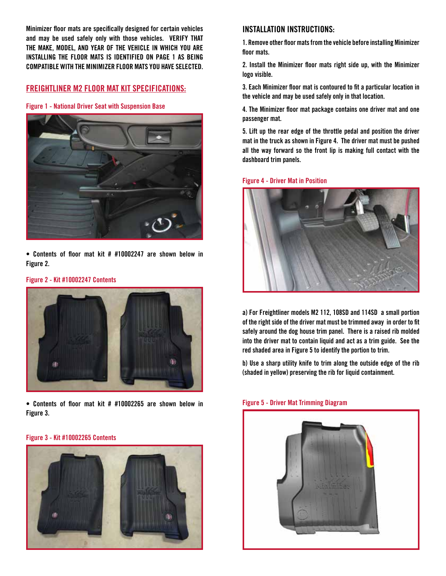**Minimizer floor mats are specifically designed for certain vehicles and may be used safely only with those vehicles. VERIFY THAT THE MAKE, MODEL, AND YEAR OF THE VEHICLE IN WHICH YOU ARE INSTALLING THE FLOOR MATS IS IDENTIFIED ON PAGE 1 AS BEING COMPATIBLE WITH THE MINIMIZER FLOOR MATS YOU HAVE SELECTED.**

# **FREIGHTLINER M2 FLOOR MAT KIT SPECIFICATIONS:**

**Figure 1 - National Driver Seat with Suspension Base**



**• Contents of floor mat kit # #10002247 are shown below in Figure 2.** 

## **Figure 2 - Kit #10002247 Contents**



**• Contents of floor mat kit # #10002265 are shown below in Figure 3.**

#### **Figure 3 - Kit #10002265 Contents**



# **INSTALLATION INSTRUCTIONS:**

**1. Remove other floor mats from the vehicle before installing Minimizer floor mats.**

**2. Install the Minimizer floor mats right side up, with the Minimizer logo visible.**

**3. Each Minimizer floor mat is contoured to fit a particular location in the vehicle and may be used safely only in that location.**

**4. The Minimizer floor mat package contains one driver mat and one passenger mat.** 

**5. Lift up the rear edge of the throttle pedal and position the driver mat in the truck as shown in Figure 4. The driver mat must be pushed all the way forward so the front lip is making full contact with the dashboard trim panels.** 

## **Figure 4 - Driver Mat in Position**



**a) For Freightliner models M2 112, 108SD and 114SD a small portion of the right side of the driver mat must be trimmed away in order to fit safely around the dog house trim panel. There is a raised rib molded into the driver mat to contain liquid and act as a trim guide. See the red shaded area in Figure 5 to identify the portion to trim.**

**b) Use a sharp utility knife to trim along the outside edge of the rib (shaded in yellow) preserving the rib for liquid containment.**

### **Figure 5 - Driver Mat Trimming Diagram**

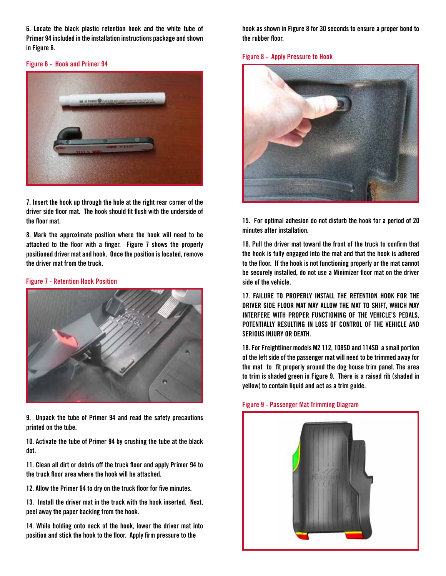**6. Locate the black plastic retention hook and the white tube of Primer 94 included in the installation instructions package and shown in Figure 6.**

### **Figure 6 - Hook and Primer 94**



**7. Insert the hook up through the hole at the right rear corner of the driver side floor mat. The hook should fit flush with the underside of the floor mat.** 

**8. Mark the approximate position where the hook will need to be attached to the floor with a finger. Figure 7 shows the properly positioned driver mat and hook. Once the position is located, remove the driver mat from the truck.**

## **Figure 7 - Retention Hook Position**



**9. Unpack the tube of Primer 94 and read the safety precautions printed on the tube.**

**10. Activate the tube of Primer 94 by crushing the tube at the black dot.**

**11. Clean all dirt or debris off the truck floor and apply Primer 94 to the truck floor area where the hook will be attached.**

**12. Allow the Primer 94 to dry on the truck floor for five minutes.** 

**13. Install the driver mat in the truck with the hook inserted. Next, peel away the paper backing from the hook.**

**14. While holding onto neck of the hook, lower the driver mat into position and stick the hook to the floor. Apply firm pressure to the** 

**hook as shown in Figure 8 for 30 seconds to ensure a proper bond to the rubber floor.**

### **Figure 8 - Apply Pressure to Hook**



**15. For optimal adhesion do not disturb the hook for a period of 20 minutes after installation.** 

**16. Pull the driver mat toward the front of the truck to confirm that the hook is fully engaged into the mat and that the hook is adhered to the floor. If the hook is not functioning properly or the mat cannot be securely installed, do not use a Minimizer floor mat on the driver side of the vehicle.**

**17. FAILURE TO PROPERLY INSTALL THE RETENTION HOOK FOR THE DRIVER SIDE FLOOR MAT MAY ALLOW THE MAT TO SHIFT, WHICH MAY INTERFERE WITH PROPER FUNCTIONING OF THE VEHICLE'S PEDALS, POTENTIALLY RESULTING IN LOSS OF CONTROL OF THE VEHICLE AND SERIOUS INJURY OR DEATH.** 

**18. For Freightliner models M2 112, 108SD and 114SD a small portion of the left side of the passenger mat will need to be trimmed away for the mat to fit properly around the dog house trim panel. The area to trim is shaded green in Figure 9. There is a raised rib (shaded in yellow) to contain liquid and act as a trim guide.**



# **Figure 9 - Passenger Mat Trimming Diagram**